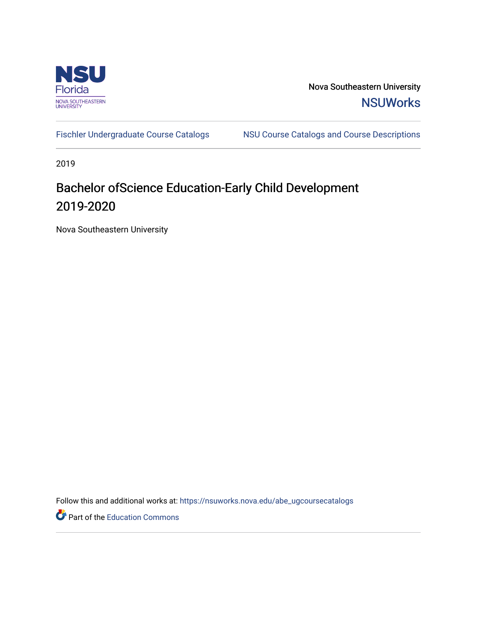

Nova Southeastern University **NSUWorks** 

[Fischler Undergraduate Course Catalogs](https://nsuworks.nova.edu/abe_ugcoursecatalogs) MSU Course Catalogs and Course Descriptions

2019

## Bachelor ofScience Education-Early Child Development 2019-2020

Nova Southeastern University

Follow this and additional works at: [https://nsuworks.nova.edu/abe\\_ugcoursecatalogs](https://nsuworks.nova.edu/abe_ugcoursecatalogs?utm_source=nsuworks.nova.edu%2Fabe_ugcoursecatalogs%2F39&utm_medium=PDF&utm_campaign=PDFCoverPages) 

Part of the [Education Commons](http://network.bepress.com/hgg/discipline/784?utm_source=nsuworks.nova.edu%2Fabe_ugcoursecatalogs%2F39&utm_medium=PDF&utm_campaign=PDFCoverPages)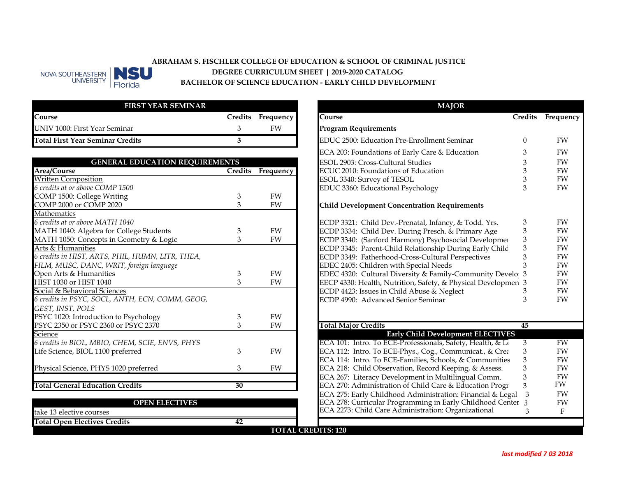

## ABRAHAM S. FISCHLER COLLEGE OF EDUCATION & SCHOOL OF CRIMINAL JUSTICE<br>DEGREE CURRICULUM SHEET | 2019-2020 CATALOG **DEGREE CURRICULUM SHEET | 2019-2020 CATALOG BACHELOR OF SCIENCE EDUCATION - EARLY CHILD DEVELOPMENT**

| <b>FIRST YEAR SEMINAR</b>               |                   |
|-----------------------------------------|-------------------|
| Course                                  | Credits Frequency |
| UNIV 1000: First Year Seminar           | FW                |
| <b>Total First Year Seminar Credits</b> |                   |

| <b>GENERAL EDUCATION REQUIREMENTS</b> |           |                                                         |                                                                                                                                                                                                                                                                                                                                                                                                                                                                                                         | FW                                                                                                                         |
|---------------------------------------|-----------|---------------------------------------------------------|---------------------------------------------------------------------------------------------------------------------------------------------------------------------------------------------------------------------------------------------------------------------------------------------------------------------------------------------------------------------------------------------------------------------------------------------------------------------------------------------------------|----------------------------------------------------------------------------------------------------------------------------|
|                                       |           | ECUC 2010: Foundations of Education                     |                                                                                                                                                                                                                                                                                                                                                                                                                                                                                                         | FW                                                                                                                         |
|                                       |           |                                                         |                                                                                                                                                                                                                                                                                                                                                                                                                                                                                                         | FW                                                                                                                         |
|                                       |           | EDUC 3360: Educational Psychology                       | 3                                                                                                                                                                                                                                                                                                                                                                                                                                                                                                       | FW                                                                                                                         |
| 3                                     | FW        |                                                         |                                                                                                                                                                                                                                                                                                                                                                                                                                                                                                         |                                                                                                                            |
| 3                                     | <b>FW</b> | <b>Child Development Concentration Requirements</b>     |                                                                                                                                                                                                                                                                                                                                                                                                                                                                                                         |                                                                                                                            |
|                                       |           |                                                         |                                                                                                                                                                                                                                                                                                                                                                                                                                                                                                         |                                                                                                                            |
|                                       |           | ECDP 3321: Child Dev.-Prenatal, Infancy, & Todd. Yrs.   | 3                                                                                                                                                                                                                                                                                                                                                                                                                                                                                                       | FW                                                                                                                         |
| 3                                     | FW        |                                                         | 3                                                                                                                                                                                                                                                                                                                                                                                                                                                                                                       | FW                                                                                                                         |
| 3                                     | FW        | ECDP 3340: (Sanford Harmony) Psychosocial Developmer    |                                                                                                                                                                                                                                                                                                                                                                                                                                                                                                         | FW                                                                                                                         |
|                                       |           | ECDP 3345: Parent-Child Relationship During Early Child |                                                                                                                                                                                                                                                                                                                                                                                                                                                                                                         | FW                                                                                                                         |
|                                       |           | ECDP 3349: Fatherhood-Cross-Cultural Perspectives       |                                                                                                                                                                                                                                                                                                                                                                                                                                                                                                         | FW                                                                                                                         |
|                                       |           | EDEC 2405: Children with Special Needs                  |                                                                                                                                                                                                                                                                                                                                                                                                                                                                                                         | FW                                                                                                                         |
| 3                                     | FW        |                                                         |                                                                                                                                                                                                                                                                                                                                                                                                                                                                                                         | FW                                                                                                                         |
| 3                                     | FW        |                                                         |                                                                                                                                                                                                                                                                                                                                                                                                                                                                                                         | FW                                                                                                                         |
|                                       |           | ECDP 4423: Issues in Child Abuse & Neglect              |                                                                                                                                                                                                                                                                                                                                                                                                                                                                                                         | FW                                                                                                                         |
|                                       |           | ECDP 4990: Advanced Senior Seminar                      |                                                                                                                                                                                                                                                                                                                                                                                                                                                                                                         | FW                                                                                                                         |
|                                       |           |                                                         |                                                                                                                                                                                                                                                                                                                                                                                                                                                                                                         |                                                                                                                            |
| 3                                     | <b>FW</b> |                                                         |                                                                                                                                                                                                                                                                                                                                                                                                                                                                                                         |                                                                                                                            |
| 3                                     | FW        |                                                         | 45                                                                                                                                                                                                                                                                                                                                                                                                                                                                                                      |                                                                                                                            |
|                                       |           |                                                         |                                                                                                                                                                                                                                                                                                                                                                                                                                                                                                         |                                                                                                                            |
|                                       |           |                                                         | 3                                                                                                                                                                                                                                                                                                                                                                                                                                                                                                       | FW                                                                                                                         |
| 3                                     |           |                                                         |                                                                                                                                                                                                                                                                                                                                                                                                                                                                                                         | FW                                                                                                                         |
|                                       |           |                                                         |                                                                                                                                                                                                                                                                                                                                                                                                                                                                                                         | FW                                                                                                                         |
| 3                                     | FW        |                                                         |                                                                                                                                                                                                                                                                                                                                                                                                                                                                                                         | FW                                                                                                                         |
|                                       |           | ECA 267: Literacy Development in Multilingual Comm.     |                                                                                                                                                                                                                                                                                                                                                                                                                                                                                                         | FW                                                                                                                         |
|                                       |           |                                                         |                                                                                                                                                                                                                                                                                                                                                                                                                                                                                                         | FW                                                                                                                         |
|                                       | 30        | Credits<br>Frequency<br>FW                              | ESOL 2903: Cross-Cultural Studies<br>ESOL 3340: Survey of TESOL<br>ECDP 3334: Child Dev. During Presch. & Primary Age<br><b>Total Major Credits</b><br><b>Early Child Development ELECTIVES</b><br>ECA 101: Intro. To ECE-Professionals, Safety, Health, & Lo<br>ECA 112: Intro. To ECE-Phys., Cog., Communicat., & Crea<br>ECA 114: Intro. To ECE-Families, Schools, & Communities<br>ECA 218: Child Observation, Record Keeping, & Assess.<br>ECA 270: Administration of Child Care & Education Progr | EDEC 4320: Cultural Diversity & Family-Community Develo 3<br>EECP 4330: Health, Nutrition, Safety, & Physical Developmen 3 |

|                                     | <b>OPEN ELECTIVES</b> |  |
|-------------------------------------|-----------------------|--|
| take 13 elective courses            |                       |  |
| <b>Total Open Electives Credits</b> |                       |  |
|                                     | <b>TOTAL CRE</b>      |  |

|                           | <b>MAJOR</b>                                                  |                |           |
|---------------------------|---------------------------------------------------------------|----------------|-----------|
| quency                    | Course                                                        | <b>Credits</b> | Frequency |
| FW                        | <b>Program Requirements</b>                                   |                |           |
|                           | EDUC 2500: Education Pre-Enrollment Seminar                   | $\Omega$       | FW        |
|                           | ECA 203: Foundations of Early Care & Education                | 3              | <b>FW</b> |
|                           | ESOL 2903: Cross-Cultural Studies                             | 3              | <b>FW</b> |
| quency                    | ECUC 2010: Foundations of Education                           | 3              | <b>FW</b> |
|                           | ESOL 3340: Survey of TESOL                                    | 3              | <b>FW</b> |
|                           | EDUC 3360: Educational Psychology                             | 3              | <b>FW</b> |
| FW<br>FW                  | <b>Child Development Concentration Requirements</b>           |                |           |
|                           |                                                               |                |           |
|                           | ECDP 3321: Child Dev.-Prenatal, Infancy, & Todd. Yrs.         | 3              | FW        |
| FW                        | ECDP 3334: Child Dev. During Presch. & Primary Age            | 3              | <b>FW</b> |
| FW                        | ECDP 3340: (Sanford Harmony) Psychosocial Developmer          | 3              | <b>FW</b> |
|                           | ECDP 3345: Parent-Child Relationship During Early Child       | 3              | <b>FW</b> |
|                           | ECDP 3349: Fatherhood-Cross-Cultural Perspectives             | 3              | FW        |
|                           | EDEC 2405: Children with Special Needs                        | 3              | FW        |
| FW                        | EDEC 4320: Cultural Diversity & Family-Community Develo       | 3              | FW        |
| FW                        | EECP 4330: Health, Nutrition, Safety, & Physical Developmen 3 |                | <b>FW</b> |
|                           | ECDP 4423: Issues in Child Abuse & Neglect                    | 3              | FW        |
|                           | ECDP 4990: Advanced Senior Seminar                            | 3              | FW        |
| <b>FW</b>                 |                                                               |                |           |
| FW                        | <b>Total Major Credits</b>                                    | 45             |           |
|                           | <b>Early Child Development ELECTIVES</b>                      |                |           |
|                           | ECA 101: Intro. To ECE-Professionals, Safety, Health, & Lo    | $\overline{3}$ | <b>FW</b> |
| FW                        | ECA 112: Intro. To ECE-Phys., Cog., Communicat., & Crea       | 3              | FW        |
|                           | ECA 114: Intro. To ECE-Families, Schools, & Communities       | 3              | FW        |
| FW                        | ECA 218: Child Observation, Record Keeping, & Assess.         | 3              | FW        |
|                           | ECA 267: Literacy Development in Multilingual Comm.           | 3              | FW        |
|                           | ECA 270: Administration of Child Care & Education Progr       | 3              | FW.       |
|                           | ECA 275: Early Childhood Administration: Financial & Legal    | 3              | <b>FW</b> |
|                           | ECA 278: Curricular Programming in Early Childhood Center 3   |                | FW        |
|                           | ECA 2273: Child Care Administration: Organizational           | 3              | F         |
|                           |                                                               |                |           |
| <b>TOTAL CREDITS: 120</b> |                                                               |                |           |